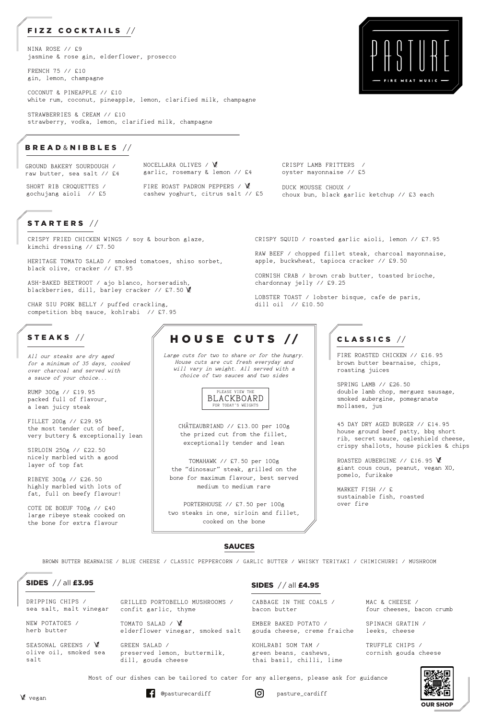### BREAD & NIBBLES / /

GROUND BAKERY SOURDOUGH / raw butter, sea salt // £4

ASH-BAKED BEETROOT / ajo blanco, horseradish, blackberries, dill, barley cracker // £7.50 \

CRISPY FRIED CHICKEN WINGS / soy & bourbon glaze, kimchi dressing // £7.50

HERITAGE TOMATO SALAD / smoked tomatoes, shiso sorbet, black olive, cracker // £7.95

CHAR SIU PORK BELLY / puffed crackling, competition bbq sauce, kohlrabi // £7.95

STEAKS  $//$ 

Large cuts for two to share or for the hungry. House cuts are cut fresh everyday and will vary in weight. All served with a choice of two sauces and two sides

CHÂTEAUBRIAND // £13.00 per 100g the prized cut from the fillet, exceptionally tender and lean

TOMAHAWK // £7.50 per 100g the "dinosaur" steak, grilled on the bone for maximum flavour, best served medium to medium rare

PORTERHOUSE // £7.50 per 100g two steaks in one, sirloin and fillet, cooked on the bone

CRISPY SQUID / roasted garlic aioli, lemon // £7.95

apple, buckwheat, tapioca cracker // £9.50

ROASTED AUBERGINE // £16.95 \ giant cous cous, peanut, vegan XO, pomelo, furikake

CORNISH CRAB / brown crab butter, toasted brioche,

chardonnay jelly // £9.25

LOBSTER TOAST / lobster bisque, cafe de paris,

dill oil // £10.50

RAW BEEF / chopped fillet steak, charcoal mayonnaise,

### STARTERS //

All our steaks are dry aged for a minimum of 35 days, cooked over charcoal and served with a sauce of your choice...

FIRE ROAST PADRON PEPPERS / VE cashew yoghurt, citrus salt // £5

RUMP 300g // £19.95 packed full of flavour, a lean juicy steak

FILLET 200g // £29.95 the most tender cut of beef, very buttery & exceptionally lean

SIRLOIN 250g // £22.50 nicely marbled with a good layer of top fat

RIBEYE 300g // £26.50 highly marbled with lots of fat, full on beefy flavour!

COTE DE BOEUF 700g // £40 large ribeye steak cooked on the bone for extra flavour

# HOUSE CUTS //

## CLASSICS / /

SEASONAL GREENS /  $\mathscr{C}$ olive oil, smoked sea

#### SIDES  $//$  all £4.95

FIRE ROASTED CHICKEN // £16.95 brown butter bearnaise, chips, roasting juices

SPRING LAMB // £26.50 double lamb chop, merguez sausage, smoked aubergine, pomegranate mollases, jus

45 DAY DRY AGED BURGER // £14.95 house ground beef patty, bbq short rib, secret sauce, ogleshield cheese, crispy shallots, house pickles & chips

MARKET FISH // £ sustainable fish, roasted over fire





Most of our dishes can be tailored to cater for any allergens, please ask for guidance

 $\begin{bmatrix} 1 \\ 0 \end{bmatrix}$  @pasturecardiff  $\begin{bmatrix} 0 \\ 0 \end{bmatrix}$  pasture\_cardiff

NOCELLARA OLIVES / garlic, rosemary & lemon // £4

CRISPY LAMB FRITTERS / oyster mayonnaise // £5

SHORT RIB CROQUETTES / gochujang aioli // £5

SAUCES

BROWN BUTTER BEARNAISE / BLUE CHEESE / CLASSIC PEPPERCORN / GARLIC BUTTER / WHISKY TERIYAKI / CHIMICHURRI / MUSHROOM

### SIDES // all £3.95

# FIZZ COCKTAILS //

NINA ROSE // £9 jasmine & rose gin, elderflower, prosecco

FRENCH 75 // £10 gin, lemon, champagne

COCONUT & PINEAPPLE // £10 white rum, coconut, pineapple, lemon, clarified milk, champagne

STRAWBERRIES & CREAM // £10 strawberry, vodka, lemon, clarified milk, champagne

> DUCK MOUSSE CHOUX / choux bun, black garlic ketchup // £3 each



Vegan

CABBAGE IN THE COALS / bacon butter GRILLED PORTOBELLO MUSHROOMS / sea salt, malt vinegar confit garlic, thyme DRIPPING CHIPS /

> KOHLRABI SOM TAM / green beans, cashews, thai basil, chilli, lime preserved lemon, buttermilk, dill, gouda cheese

EMBER BAKED POTATO / elderflower vinegar, smoked salt gouda cheese, creme fraiche leeks, cheese TOMATO SALAD / \ NEW POTATOES / herb butter

GREEN SALAD /

salt

MAC & CHEESE / four cheeses, bacon crumb

SPINACH GRATIN /

TRUFFLE CHIPS / cornish gouda cheese